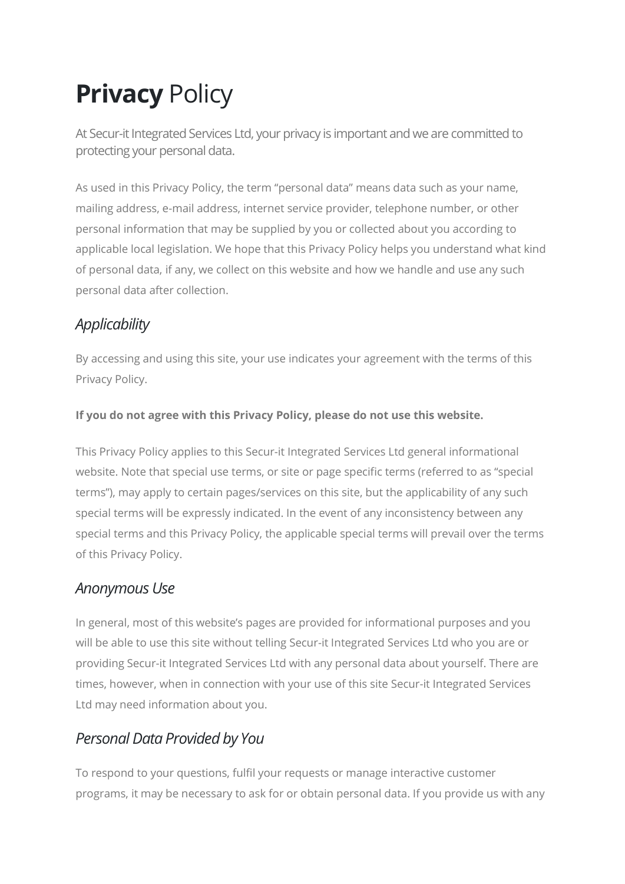# **Privacy Policy**

At Secur-it Integrated Services Ltd, your privacy is important and we are committed to protecting your personal data.

As used in this Privacy Policy, the term "personal data" means data such as your name, mailing address, e-mail address, internet service provider, telephone number, or other personal information that may be supplied by you or collected about you according to applicable local legislation. We hope that this Privacy Policy helps you understand what kind of personal data, if any, we collect on this website and how we handle and use any such personal data after collection.

# **Applicability**

By accessing and using this site, your use indicates your agreement with the terms of this Privacy Policy.

#### If you do not agree with this Privacy Policy, please do not use this website.

This Privacy Policy applies to this Secur-it Integrated Services Ltd general informational website. Note that special use terms, or site or page specific terms (referred to as "special terms"), may apply to certain pages/services on this site, but the applicability of any such special terms will be expressly indicated. In the event of any inconsistency between any special terms and this Privacy Policy, the applicable special terms will prevail over the terms of this Privacy Policy.

#### Anonymous Use

In general, most of this website's pages are provided for informational purposes and you will be able to use this site without telling Secur-it Integrated Services Ltd who you are or providing Secur-it Integrated Services Ltd with any personal data about yourself. There are times, however, when in connection with your use of this site Secur-it Integrated Services Ltd may need information about you.

### Personal Data Provided by You

To respond to your questions, fulfil your requests or manage interactive customer programs, it may be necessary to ask for or obtain personal data. If you provide us with any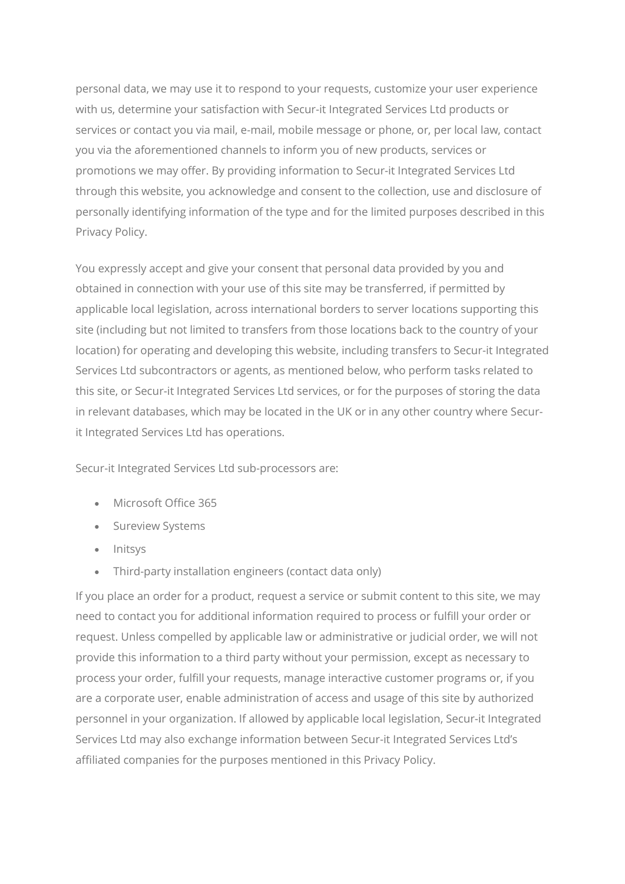personal data, we may use it to respond to your requests, customize your user experience with us, determine your satisfaction with Secur-it Integrated Services Ltd products or services or contact you via mail, e-mail, mobile message or phone, or, per local law, contact you via the aforementioned channels to inform you of new products, services or promotions we may offer. By providing information to Secur-it Integrated Services Ltd through this website, you acknowledge and consent to the collection, use and disclosure of personally identifying information of the type and for the limited purposes described in this Privacy Policy.

You expressly accept and give your consent that personal data provided by you and obtained in connection with your use of this site may be transferred, if permitted by applicable local legislation, across international borders to server locations supporting this site (including but not limited to transfers from those locations back to the country of your location) for operating and developing this website, including transfers to Secur-it Integrated Services Ltd subcontractors or agents, as mentioned below, who perform tasks related to this site, or Secur-it Integrated Services Ltd services, or for the purposes of storing the data in relevant databases, which may be located in the UK or in any other country where Securit Integrated Services Ltd has operations.

Secur-it Integrated Services Ltd sub-processors are:

- Microsoft Office 365
- **Sureview Systems**
- Initsys
- Third-party installation engineers (contact data only)

If you place an order for a product, request a service or submit content to this site, we may need to contact you for additional information required to process or fulfill your order or request. Unless compelled by applicable law or administrative or judicial order, we will not provide this information to a third party without your permission, except as necessary to process your order, fulfill your requests, manage interactive customer programs or, if you are a corporate user, enable administration of access and usage of this site by authorized personnel in your organization. If allowed by applicable local legislation, Secur-it Integrated Services Ltd may also exchange information between Secur-it Integrated Services Ltd's affiliated companies for the purposes mentioned in this Privacy Policy.